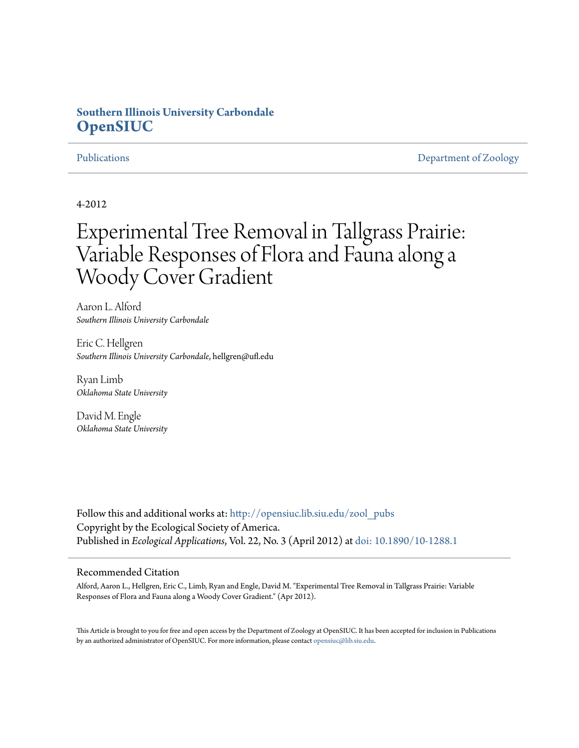## **Southern Illinois University Carbondale [OpenSIUC](http://opensiuc.lib.siu.edu?utm_source=opensiuc.lib.siu.edu%2Fzool_pubs%2F54&utm_medium=PDF&utm_campaign=PDFCoverPages)**

[Publications](http://opensiuc.lib.siu.edu/zool_pubs?utm_source=opensiuc.lib.siu.edu%2Fzool_pubs%2F54&utm_medium=PDF&utm_campaign=PDFCoverPages) **[Department of Zoology](http://opensiuc.lib.siu.edu/zool?utm_source=opensiuc.lib.siu.edu%2Fzool_pubs%2F54&utm_medium=PDF&utm_campaign=PDFCoverPages)** 

### 4-2012

# Experimental Tree Removal in Tallgrass Prairie: Variable Responses of Flora and Fauna along a Woody Cover Gradient

Aaron L. Alford *Southern Illinois University Carbondale*

Eric C. Hellgren *Southern Illinois University Carbondale*, hellgren@ufl.edu

Ryan Limb *Oklahoma State University*

David M. Engle *Oklahoma State University*

Follow this and additional works at: [http://opensiuc.lib.siu.edu/zool\\_pubs](http://opensiuc.lib.siu.edu/zool_pubs?utm_source=opensiuc.lib.siu.edu%2Fzool_pubs%2F54&utm_medium=PDF&utm_campaign=PDFCoverPages) Copyright by the Ecological Society of America. Published in *Ecological Applications*, Vol. 22, No. 3 (April 2012) at [doi: 10.1890/10-1288.1](http://dx.doi.org/10.1890/10-1288.1)

#### Recommended Citation

Alford, Aaron L., Hellgren, Eric C., Limb, Ryan and Engle, David M. "Experimental Tree Removal in Tallgrass Prairie: Variable Responses of Flora and Fauna along a Woody Cover Gradient." (Apr 2012).

This Article is brought to you for free and open access by the Department of Zoology at OpenSIUC. It has been accepted for inclusion in Publications by an authorized administrator of OpenSIUC. For more information, please contact [opensiuc@lib.siu.edu.](mailto:opensiuc@lib.siu.edu)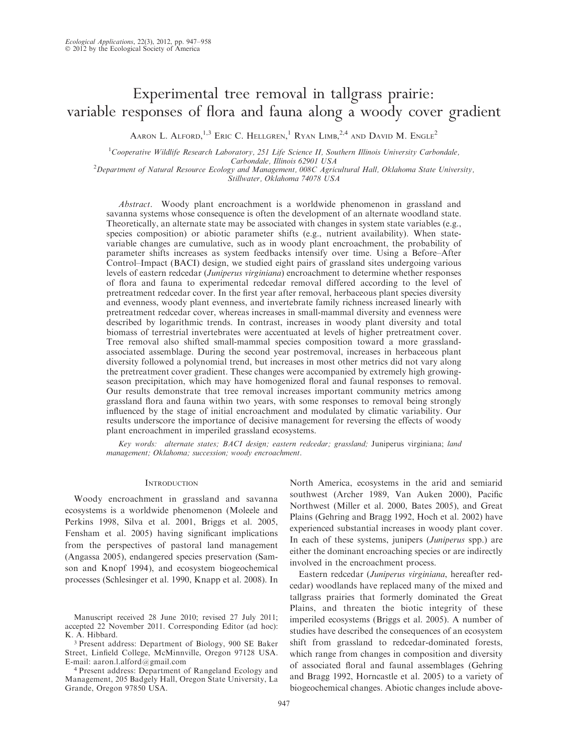# Experimental tree removal in tallgrass prairie: variable responses of flora and fauna along a woody cover gradient

AARON L. ALFORD,  $^{1,3}$  Eric C. Hellgren,  $^{1}$  Ryan Limb,  $^{2,4}$  and David M. Engle<sup>2</sup>

<sup>1</sup>Cooperative Wildlife Research Laboratory, 251 Life Science II, Southern Illinois University Carbondale, Carbondale, Illinois 62901 USA <sup>2</sup> Department of Natural Resource Ecology and Management, 008C Agricultural Hall, Oklahoma State University,

Stillwater, Oklahoma 74078 USA

Abstract. Woody plant encroachment is a worldwide phenomenon in grassland and savanna systems whose consequence is often the development of an alternate woodland state. Theoretically, an alternate state may be associated with changes in system state variables (e.g., species composition) or abiotic parameter shifts (e.g., nutrient availability). When statevariable changes are cumulative, such as in woody plant encroachment, the probability of parameter shifts increases as system feedbacks intensify over time. Using a Before–After Control–Impact (BACI) design, we studied eight pairs of grassland sites undergoing various levels of eastern redcedar (*Juniperus virginiana*) encroachment to determine whether responses of flora and fauna to experimental redcedar removal differed according to the level of pretreatment redcedar cover. In the first year after removal, herbaceous plant species diversity and evenness, woody plant evenness, and invertebrate family richness increased linearly with pretreatment redcedar cover, whereas increases in small-mammal diversity and evenness were described by logarithmic trends. In contrast, increases in woody plant diversity and total biomass of terrestrial invertebrates were accentuated at levels of higher pretreatment cover. Tree removal also shifted small-mammal species composition toward a more grasslandassociated assemblage. During the second year postremoval, increases in herbaceous plant diversity followed a polynomial trend, but increases in most other metrics did not vary along the pretreatment cover gradient. These changes were accompanied by extremely high growingseason precipitation, which may have homogenized floral and faunal responses to removal. Our results demonstrate that tree removal increases important community metrics among grassland flora and fauna within two years, with some responses to removal being strongly influenced by the stage of initial encroachment and modulated by climatic variability. Our results underscore the importance of decisive management for reversing the effects of woody plant encroachment in imperiled grassland ecosystems.

Key words: alternate states; BACI design; eastern redcedar; grassland; Juniperus virginiana; land management; Oklahoma; succession; woody encroachment.

#### **INTRODUCTION**

Woody encroachment in grassland and savanna ecosystems is a worldwide phenomenon (Moleele and Perkins 1998, Silva et al. 2001, Briggs et al. 2005, Fensham et al. 2005) having significant implications from the perspectives of pastoral land management (Angassa 2005), endangered species preservation (Samson and Knopf 1994), and ecosystem biogeochemical processes (Schlesinger et al. 1990, Knapp et al. 2008). In

4 Present address: Department of Rangeland Ecology and Management, 205 Badgely Hall, Oregon State University, La Grande, Oregon 97850 USA.

North America, ecosystems in the arid and semiarid southwest (Archer 1989, Van Auken 2000), Pacific Northwest (Miller et al. 2000, Bates 2005), and Great Plains (Gehring and Bragg 1992, Hoch et al. 2002) have experienced substantial increases in woody plant cover. In each of these systems, junipers (Juniperus spp.) are either the dominant encroaching species or are indirectly involved in the encroachment process.

Eastern redcedar (Juniperus virginiana, hereafter redcedar) woodlands have replaced many of the mixed and tallgrass prairies that formerly dominated the Great Plains, and threaten the biotic integrity of these imperiled ecosystems (Briggs et al. 2005). A number of studies have described the consequences of an ecosystem shift from grassland to redcedar-dominated forests, which range from changes in composition and diversity of associated floral and faunal assemblages (Gehring and Bragg 1992, Horncastle et al. 2005) to a variety of biogeochemical changes. Abiotic changes include above-

Manuscript received 28 June 2010; revised 27 July 2011; accepted 22 November 2011. Corresponding Editor (ad hoc): K. A. Hibbard.

<sup>3</sup> Present address: Department of Biology, 900 SE Baker Street, Linfield College, McMinnville, Oregon 97128 USA. E-mail: aaron.l.alford@gmail.com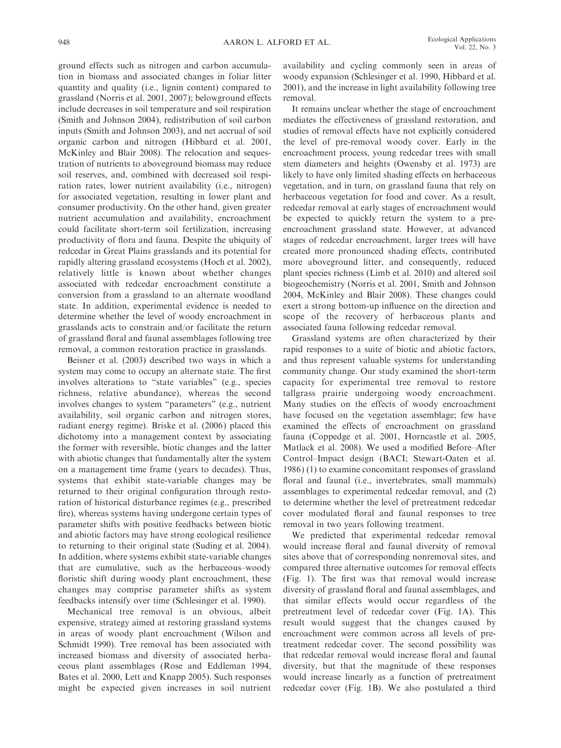ground effects such as nitrogen and carbon accumulation in biomass and associated changes in foliar litter quantity and quality (i.e., lignin content) compared to grassland (Norris et al. 2001, 2007); belowground effects include decreases in soil temperature and soil respiration (Smith and Johnson 2004), redistribution of soil carbon inputs (Smith and Johnson 2003), and net accrual of soil organic carbon and nitrogen (Hibbard et al. 2001, McKinley and Blair 2008). The relocation and sequestration of nutrients to aboveground biomass may reduce soil reserves, and, combined with decreased soil respiration rates, lower nutrient availability (i.e., nitrogen) for associated vegetation, resulting in lower plant and consumer productivity. On the other hand, given greater nutrient accumulation and availability, encroachment could facilitate short-term soil fertilization, increasing productivity of flora and fauna. Despite the ubiquity of redcedar in Great Plains grasslands and its potential for rapidly altering grassland ecosystems (Hoch et al. 2002), relatively little is known about whether changes associated with redcedar encroachment constitute a conversion from a grassland to an alternate woodland state. In addition, experimental evidence is needed to determine whether the level of woody encroachment in grasslands acts to constrain and/or facilitate the return of grassland floral and faunal assemblages following tree removal, a common restoration practice in grasslands.

Beisner et al. (2003) described two ways in which a system may come to occupy an alternate state. The first involves alterations to ''state variables'' (e.g., species richness, relative abundance), whereas the second involves changes to system ''parameters'' (e.g., nutrient availability, soil organic carbon and nitrogen stores, radiant energy regime). Briske et al. (2006) placed this dichotomy into a management context by associating the former with reversible, biotic changes and the latter with abiotic changes that fundamentally alter the system on a management time frame (years to decades). Thus, systems that exhibit state-variable changes may be returned to their original configuration through restoration of historical disturbance regimes (e.g., prescribed fire), whereas systems having undergone certain types of parameter shifts with positive feedbacks between biotic and abiotic factors may have strong ecological resilience to returning to their original state (Suding et al. 2004). In addition, where systems exhibit state-variable changes that are cumulative, such as the herbaceous–woody floristic shift during woody plant encroachment, these changes may comprise parameter shifts as system feedbacks intensify over time (Schlesinger et al. 1990).

Mechanical tree removal is an obvious, albeit expensive, strategy aimed at restoring grassland systems in areas of woody plant encroachment (Wilson and Schmidt 1990). Tree removal has been associated with increased biomass and diversity of associated herbaceous plant assemblages (Rose and Eddleman 1994, Bates et al. 2000, Lett and Knapp 2005). Such responses might be expected given increases in soil nutrient availability and cycling commonly seen in areas of woody expansion (Schlesinger et al. 1990, Hibbard et al. 2001), and the increase in light availability following tree removal.

It remains unclear whether the stage of encroachment mediates the effectiveness of grassland restoration, and studies of removal effects have not explicitly considered the level of pre-removal woody cover. Early in the encroachment process, young redcedar trees with small stem diameters and heights (Owensby et al. 1973) are likely to have only limited shading effects on herbaceous vegetation, and in turn, on grassland fauna that rely on herbaceous vegetation for food and cover. As a result, redcedar removal at early stages of encroachment would be expected to quickly return the system to a preencroachment grassland state. However, at advanced stages of redcedar encroachment, larger trees will have created more pronounced shading effects, contributed more aboveground litter, and consequently, reduced plant species richness (Limb et al. 2010) and altered soil biogeochemistry (Norris et al. 2001, Smith and Johnson 2004, McKinley and Blair 2008). These changes could exert a strong bottom-up influence on the direction and scope of the recovery of herbaceous plants and associated fauna following redcedar removal.

Grassland systems are often characterized by their rapid responses to a suite of biotic and abiotic factors, and thus represent valuable systems for understanding community change. Our study examined the short-term capacity for experimental tree removal to restore tallgrass prairie undergoing woody encroachment. Many studies on the effects of woody encroachment have focused on the vegetation assemblage; few have examined the effects of encroachment on grassland fauna (Coppedge et al. 2001, Horncastle et al. 2005, Matlack et al. 2008). We used a modified Before–After Control–Impact design (BACI; Stewart-Oaten et al. 1986) (1) to examine concomitant responses of grassland floral and faunal (i.e., invertebrates, small mammals) assemblages to experimental redcedar removal, and (2) to determine whether the level of pretreatment redcedar cover modulated floral and faunal responses to tree removal in two years following treatment.

We predicted that experimental redcedar removal would increase floral and faunal diversity of removal sites above that of corresponding nonremoval sites, and compared three alternative outcomes for removal effects (Fig. 1). The first was that removal would increase diversity of grassland floral and faunal assemblages, and that similar effects would occur regardless of the pretreatment level of redcedar cover (Fig. 1A). This result would suggest that the changes caused by encroachment were common across all levels of pretreatment redcedar cover. The second possibility was that redcedar removal would increase floral and faunal diversity, but that the magnitude of these responses would increase linearly as a function of pretreatment redcedar cover (Fig. 1B). We also postulated a third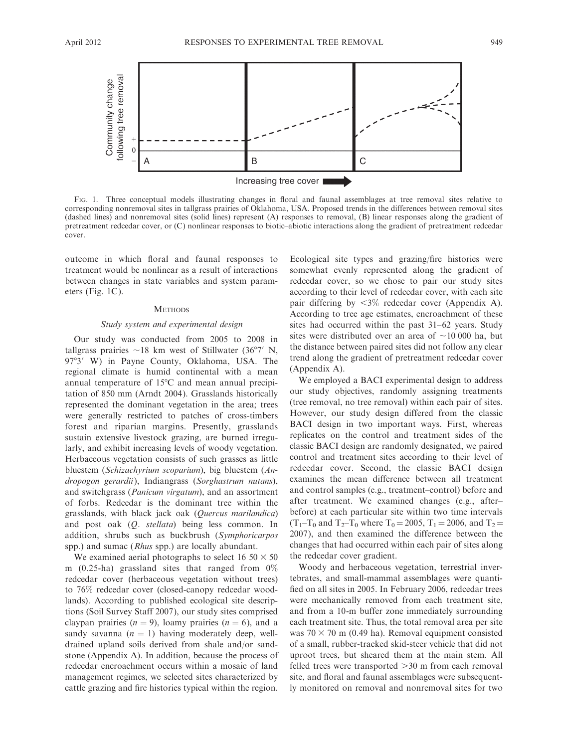

FIG. 1. Three conceptual models illustrating changes in floral and faunal assemblages at tree removal sites relative to corresponding nonremoval sites in tallgrass prairies of Oklahoma, USA. Proposed trends in the differences between removal sites (dashed lines) and nonremoval sites (solid lines) represent (A) responses to removal, (B) linear responses along the gradient of pretreatment redcedar cover, or (C) nonlinear responses to biotic–abiotic interactions along the gradient of pretreatment redcedar cover.

outcome in which floral and faunal responses to treatment would be nonlinear as a result of interactions between changes in state variables and system parameters (Fig. 1C).

#### **METHODS**

#### Study system and experimental design

Our study was conducted from 2005 to 2008 in tallgrass prairies  $\sim$ 18 km west of Stillwater (36°7′ N, 97°3′ W) in Payne County, Oklahoma, USA. The regional climate is humid continental with a mean annual temperature of  $15^{\circ}$ C and mean annual precipitation of 850 mm (Arndt 2004). Grasslands historically represented the dominant vegetation in the area; trees were generally restricted to patches of cross-timbers forest and riparian margins. Presently, grasslands sustain extensive livestock grazing, are burned irregularly, and exhibit increasing levels of woody vegetation. Herbaceous vegetation consists of such grasses as little bluestem (Schizachyrium scoparium), big bluestem (Andropogon gerardii), Indiangrass (Sorghastrum nutans), and switchgrass (Panicum virgatum), and an assortment of forbs. Redcedar is the dominant tree within the grasslands, with black jack oak (Quercus marilandica) and post oak (Q. stellata) being less common. In addition, shrubs such as buckbrush (Symphoricarpos spp.) and sumac (*Rhus* spp.) are locally abundant.

We examined aerial photographs to select  $16\ 50 \times 50$ m (0.25-ha) grassland sites that ranged from  $0\%$ redcedar cover (herbaceous vegetation without trees) to 76% redcedar cover (closed-canopy redcedar woodlands). According to published ecological site descriptions (Soil Survey Staff 2007), our study sites comprised claypan prairies ( $n = 9$ ), loamy prairies ( $n = 6$ ), and a sandy savanna ( $n = 1$ ) having moderately deep, welldrained upland soils derived from shale and/or sandstone (Appendix A). In addition, because the process of redcedar encroachment occurs within a mosaic of land management regimes, we selected sites characterized by cattle grazing and fire histories typical within the region. Ecological site types and grazing/fire histories were somewhat evenly represented along the gradient of redcedar cover, so we chose to pair our study sites according to their level of redcedar cover, with each site pair differing by  $\langle 3\% \rangle$  redcedar cover (Appendix A). According to tree age estimates, encroachment of these sites had occurred within the past 31–62 years. Study sites were distributed over an area of  $\sim$ 10 000 ha, but the distance between paired sites did not follow any clear trend along the gradient of pretreatment redcedar cover (Appendix A).

We employed a BACI experimental design to address our study objectives, randomly assigning treatments (tree removal, no tree removal) within each pair of sites. However, our study design differed from the classic BACI design in two important ways. First, whereas replicates on the control and treatment sides of the classic BACI design are randomly designated, we paired control and treatment sites according to their level of redcedar cover. Second, the classic BACI design examines the mean difference between all treatment and control samples (e.g., treatment–control) before and after treatment. We examined changes (e.g., after– before) at each particular site within two time intervals  $(T_1-T_0$  and  $T_2-T_0$  where  $T_0 = 2005$ ,  $T_1 = 2006$ , and  $T_2 =$ 2007), and then examined the difference between the changes that had occurred within each pair of sites along the redcedar cover gradient.

Woody and herbaceous vegetation, terrestrial invertebrates, and small-mammal assemblages were quantified on all sites in 2005. In February 2006, redcedar trees were mechanically removed from each treatment site, and from a 10-m buffer zone immediately surrounding each treatment site. Thus, the total removal area per site was  $70 \times 70$  m (0.49 ha). Removal equipment consisted of a small, rubber-tracked skid-steer vehicle that did not uproot trees, but sheared them at the main stem. All felled trees were transported  $>30$  m from each removal site, and floral and faunal assemblages were subsequently monitored on removal and nonremoval sites for two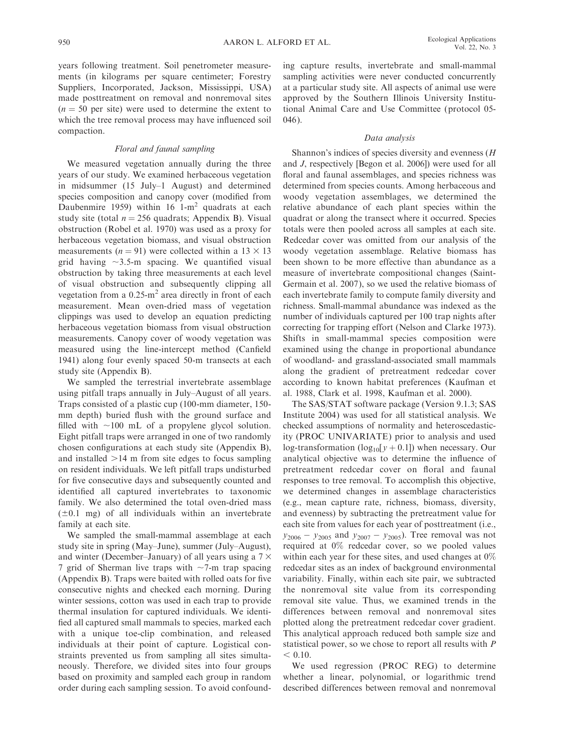years following treatment. Soil penetrometer measurements (in kilograms per square centimeter; Forestry Suppliers, Incorporated, Jackson, Mississippi, USA) made posttreatment on removal and nonremoval sites  $(n = 50$  per site) were used to determine the extent to which the tree removal process may have influenced soil compaction.

#### Floral and faunal sampling

We measured vegetation annually during the three years of our study. We examined herbaceous vegetation in midsummer (15 July–1 August) and determined species composition and canopy cover (modified from Daubenmire 1959) within 16  $1-m^2$  quadrats at each study site (total  $n = 256$  quadrats; Appendix B). Visual obstruction (Robel et al. 1970) was used as a proxy for herbaceous vegetation biomass, and visual obstruction measurements ( $n = 91$ ) were collected within a 13  $\times$  13 grid having  $\sim$ 3.5-m spacing. We quantified visual obstruction by taking three measurements at each level of visual obstruction and subsequently clipping all vegetation from a  $0.25 \text{ m}^2$  area directly in front of each measurement. Mean oven-dried mass of vegetation clippings was used to develop an equation predicting herbaceous vegetation biomass from visual obstruction measurements. Canopy cover of woody vegetation was measured using the line-intercept method (Canfield 1941) along four evenly spaced 50-m transects at each study site (Appendix B).

We sampled the terrestrial invertebrate assemblage using pitfall traps annually in July–August of all years. Traps consisted of a plastic cup (100-mm diameter, 150 mm depth) buried flush with the ground surface and filled with  $\sim$ 100 mL of a propylene glycol solution. Eight pitfall traps were arranged in one of two randomly chosen configurations at each study site (Appendix B), and installed  $>14$  m from site edges to focus sampling on resident individuals. We left pitfall traps undisturbed for five consecutive days and subsequently counted and identified all captured invertebrates to taxonomic family. We also determined the total oven-dried mass  $(\pm 0.1 \text{ mg})$  of all individuals within an invertebrate family at each site.

We sampled the small-mammal assemblage at each study site in spring (May–June), summer (July–August), and winter (December–January) of all years using a  $7 \times$ 7 grid of Sherman live traps with  $\sim$ 7-m trap spacing (Appendix B). Traps were baited with rolled oats for five consecutive nights and checked each morning. During winter sessions, cotton was used in each trap to provide thermal insulation for captured individuals. We identified all captured small mammals to species, marked each with a unique toe-clip combination, and released individuals at their point of capture. Logistical constraints prevented us from sampling all sites simultaneously. Therefore, we divided sites into four groups based on proximity and sampled each group in random order during each sampling session. To avoid confounding capture results, invertebrate and small-mammal sampling activities were never conducted concurrently at a particular study site. All aspects of animal use were approved by the Southern Illinois University Institutional Animal Care and Use Committee (protocol 05-  $(046)$ .

#### Data analysis

Shannon's indices of species diversity and evenness  $(H)$ and J, respectively [Begon et al. 2006]) were used for all floral and faunal assemblages, and species richness was determined from species counts. Among herbaceous and woody vegetation assemblages, we determined the relative abundance of each plant species within the quadrat or along the transect where it occurred. Species totals were then pooled across all samples at each site. Redcedar cover was omitted from our analysis of the woody vegetation assemblage. Relative biomass has been shown to be more effective than abundance as a measure of invertebrate compositional changes (Saint-Germain et al. 2007), so we used the relative biomass of each invertebrate family to compute family diversity and richness. Small-mammal abundance was indexed as the number of individuals captured per 100 trap nights after correcting for trapping effort (Nelson and Clarke 1973). Shifts in small-mammal species composition were examined using the change in proportional abundance of woodland- and grassland-associated small mammals along the gradient of pretreatment redcedar cover according to known habitat preferences (Kaufman et al. 1988, Clark et al. 1998, Kaufman et al. 2000).

The SAS/STAT software package (Version 9.1.3; SAS Institute 2004) was used for all statistical analysis. We checked assumptions of normality and heteroscedasticity (PROC UNIVARIATE) prior to analysis and used log-transformation (log<sub>10</sub>[y + 0.1]) when necessary. Our analytical objective was to determine the influence of pretreatment redcedar cover on floral and faunal responses to tree removal. To accomplish this objective, we determined changes in assemblage characteristics (e.g., mean capture rate, richness, biomass, diversity, and evenness) by subtracting the pretreatment value for each site from values for each year of posttreatment (i.e.,  $y_{2006} - y_{2005}$  and  $y_{2007} - y_{2005}$ ). Tree removal was not required at 0% redcedar cover, so we pooled values within each year for these sites, and used changes at 0% redcedar sites as an index of background environmental variability. Finally, within each site pair, we subtracted the nonremoval site value from its corresponding removal site value. Thus, we examined trends in the differences between removal and nonremoval sites plotted along the pretreatment redcedar cover gradient. This analytical approach reduced both sample size and statistical power, so we chose to report all results with P  $< 0.10.$ 

We used regression (PROC REG) to determine whether a linear, polynomial, or logarithmic trend described differences between removal and nonremoval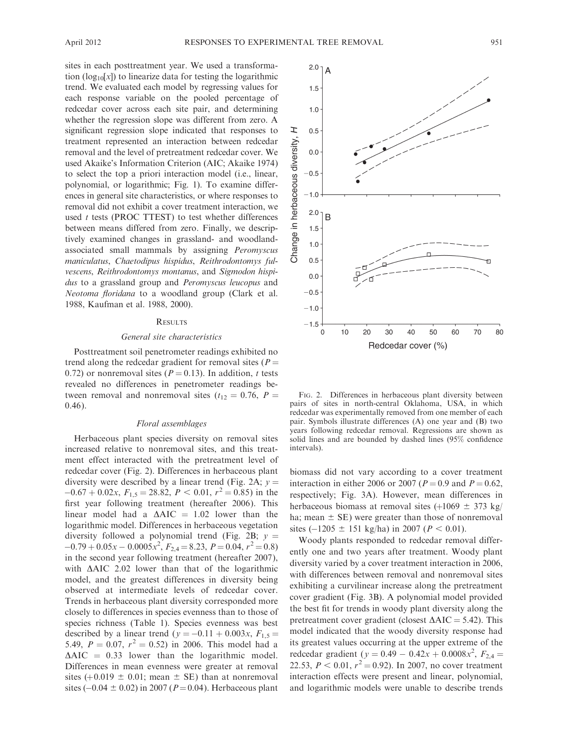sites in each posttreatment year. We used a transformation ( $log_{10}[x]$ ) to linearize data for testing the logarithmic trend. We evaluated each model by regressing values for each response variable on the pooled percentage of redcedar cover across each site pair, and determining whether the regression slope was different from zero. A significant regression slope indicated that responses to treatment represented an interaction between redcedar removal and the level of pretreatment redcedar cover. We used Akaike's Information Criterion (AIC; Akaike 1974) to select the top a priori interaction model (i.e., linear, polynomial, or logarithmic; Fig. 1). To examine differences in general site characteristics, or where responses to removal did not exhibit a cover treatment interaction, we used  $t$  tests (PROC TTEST) to test whether differences between means differed from zero. Finally, we descriptively examined changes in grassland- and woodlandassociated small mammals by assigning Peromyscus maniculatus, Chaetodipus hispidus, Reithrodontomys fulvescens, Reithrodontomys montanus, and Sigmodon hispidus to a grassland group and Peromyscus leucopus and Neotoma floridana to a woodland group (Clark et al. 1988, Kaufman et al. 1988, 2000).

#### **RESULTS**

#### General site characteristics

Posttreatment soil penetrometer readings exhibited no trend along the redcedar gradient for removal sites ( $P =$ 0.72) or nonremoval sites ( $P = 0.13$ ). In addition, t tests revealed no differences in penetrometer readings between removal and nonremoval sites ( $t_{12} = 0.76$ ,  $P =$ 0.46).

#### Floral assemblages

Herbaceous plant species diversity on removal sites increased relative to nonremoval sites, and this treatment effect interacted with the pretreatment level of redcedar cover (Fig. 2). Differences in herbaceous plant diversity were described by a linear trend (Fig. 2A;  $y =$  $-0.67 + 0.02x$ ,  $F_{1,5} = 28.82$ ,  $P < 0.01$ ,  $r^2 = 0.85$ ) in the first year following treatment (hereafter 2006). This linear model had a  $\triangle AIC = 1.02$  lower than the logarithmic model. Differences in herbaceous vegetation diversity followed a polynomial trend (Fig. 2B;  $y =$  $-0.79 + 0.05x - 0.0005x^2$ ,  $F_{2,4} = 8.23$ ,  $P = 0.04$ ,  $r^2 = 0.8$ ) in the second year following treatment (hereafter 2007), with  $\triangle AIC$  2.02 lower than that of the logarithmic model, and the greatest differences in diversity being observed at intermediate levels of redcedar cover. Trends in herbaceous plant diversity corresponded more closely to differences in species evenness than to those of species richness (Table 1). Species evenness was best described by a linear trend  $(y = -0.11 + 0.003x, F_{1,5} =$ 5.49,  $P = 0.07$ ,  $r^2 = 0.52$ ) in 2006. This model had a  $\Delta AIC = 0.33$  lower than the logarithmic model. Differences in mean evenness were greater at removal sites (+0.019  $\pm$  0.01; mean  $\pm$  SE) than at nonremoval sites  $(-0.04 \pm 0.02)$  in 2007 ( $P = 0.04$ ). Herbaceous plant



FIG. 2. Differences in herbaceous plant diversity between pairs of sites in north-central Oklahoma, USA, in which redcedar was experimentally removed from one member of each pair. Symbols illustrate differences (A) one year and (B) two years following redcedar removal. Regressions are shown as solid lines and are bounded by dashed lines (95% confidence intervals).

biomass did not vary according to a cover treatment interaction in either 2006 or 2007 ( $P = 0.9$  and  $P = 0.62$ , respectively; Fig. 3A). However, mean differences in herbaceous biomass at removal sites  $(+1069 \pm 373 \text{ kg})$ ha; mean  $\pm$  SE) were greater than those of nonremoval sites  $(-1205 \pm 151 \text{ kg/ha})$  in 2007 ( $P < 0.01$ ).

Woody plants responded to redcedar removal differently one and two years after treatment. Woody plant diversity varied by a cover treatment interaction in 2006, with differences between removal and nonremoval sites exhibiting a curvilinear increase along the pretreatment cover gradient (Fig. 3B). A polynomial model provided the best fit for trends in woody plant diversity along the pretreatment cover gradient (closest  $\Delta AIC = 5.42$ ). This model indicated that the woody diversity response had its greatest values occurring at the upper extreme of the redcedar gradient ( $y = 0.49 - 0.42x + 0.0008x^2$ ,  $F_{2,4} =$ 22.53,  $P < 0.01$ ,  $r^2 = 0.92$ ). In 2007, no cover treatment interaction effects were present and linear, polynomial, and logarithmic models were unable to describe trends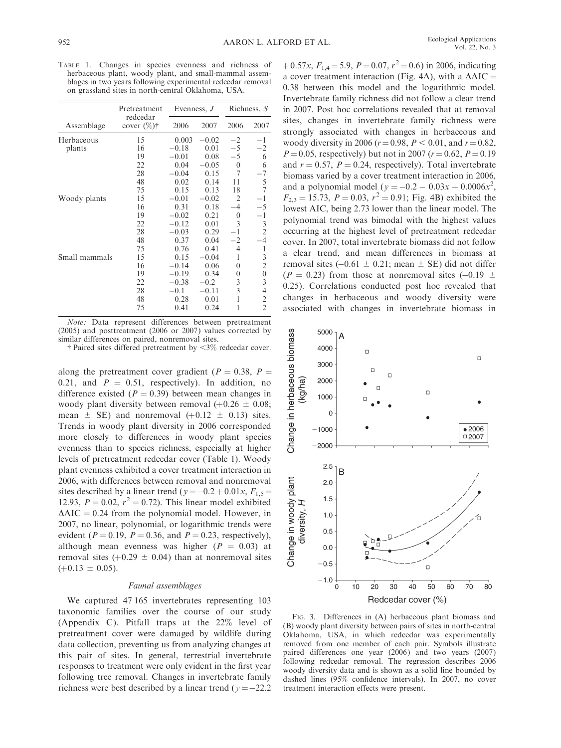TABLE 1. Changes in species evenness and richness of herbaceous plant, woody plant, and small-mammal assemblages in two years following experimental redcedar removal on grassland sites in north-central Oklahoma, USA.

|               | Pretreatment<br>redcedar<br>cover $(\%)\dagger$ | Evenness, $J$ |         | Richness, S    |                  |
|---------------|-------------------------------------------------|---------------|---------|----------------|------------------|
| Assemblage    |                                                 | 2006          | 2007    | 2006           | 2007             |
| Herbaceous    | 15                                              | 0.003         | $-0.02$ | $-2$           | $-1$             |
| plants        | 16                                              | $-0.18$       | 0.01    | $-5$           | $^{-2}$          |
|               | 19                                              | $-0.01$       | 0.08    | -5             | 6                |
|               | 22                                              | 0.04          | $-0.05$ | $\theta$       | 6                |
|               | 28                                              | $-0.04$       | 0.15    | 7              | - 7              |
|               | 48                                              | 0.02          | 0.14    | 11             | 5                |
|               | 75                                              | 0.15          | 0.13    | 18             |                  |
| Woody plants  | 15                                              | $-0.01$       | $-0.02$ | $\overline{2}$ |                  |
|               | 16                                              | 0.31          | 0.18    | 4              | -5               |
|               | 19                                              | $-0.02$       | 0.21    | $\theta$       |                  |
|               | 22                                              | $-0.12$       | 0.01    | 3              | 3                |
|               | 28                                              | $-0.03$       | 0.29    | $-1$           | $\overline{2}$   |
|               | 48                                              | 0.37          | 0.04    | $-2$           | 4                |
|               | 75                                              | 0.76          | 0.41    | $\overline{4}$ | 1                |
| Small mammals | 15                                              | 0.15          | $-0.04$ | 1              | 3                |
|               | 16                                              | $-0.14$       | 0.06    | $\theta$       | $\overline{c}$   |
|               | 19                                              | $-0.19$       | 0.34    | $\theta$       | $\boldsymbol{0}$ |
|               | 22                                              | $-0.38$       | $-0.2$  | 3              | 3                |
|               | 28                                              | $-0.1$        | -0.11   | 3              | 4                |
|               | 48                                              | 0.28          | 0.01    | 1              | 2                |
|               | 75                                              | 0.41          | 0.24    | 1              | $\overline{2}$   |

Note: Data represent differences between pretreatment (2005) and posttreatment (2006 or 2007) values corrected by similar differences on paired, nonremoval sites.

 $\dagger$  Paired sites differed pretreatment by  $\leq 3\%$  redcedar cover.

along the pretreatment cover gradient ( $P = 0.38$ ,  $P =$ 0.21, and  $P = 0.51$ , respectively). In addition, no difference existed ( $P = 0.39$ ) between mean changes in woody plant diversity between removal  $(+0.26 \pm 0.08;$ mean  $\pm$  SE) and nonremoval (+0.12  $\pm$  0.13) sites. Trends in woody plant diversity in 2006 corresponded more closely to differences in woody plant species evenness than to species richness, especially at higher levels of pretreatment redcedar cover (Table 1). Woody plant evenness exhibited a cover treatment interaction in 2006, with differences between removal and nonremoval sites described by a linear trend ( $y = -0.2 + 0.01x$ ,  $F_{1,5} =$ 12.93,  $P = 0.02$ ,  $r^2 = 0.72$ ). This linear model exhibited  $\Delta AIC = 0.24$  from the polynomial model. However, in 2007, no linear, polynomial, or logarithmic trends were evident ( $P = 0.19$ ,  $P = 0.36$ , and  $P = 0.23$ , respectively), although mean evenness was higher ( $P = 0.03$ ) at removal sites ( $+0.29 \pm 0.04$ ) than at nonremoval sites  $(+0.13 \pm 0.05).$ 

#### Faunal assemblages

We captured 47 165 invertebrates representing 103 taxonomic families over the course of our study (Appendix C). Pitfall traps at the 22% level of pretreatment cover were damaged by wildlife during data collection, preventing us from analyzing changes at this pair of sites. In general, terrestrial invertebrate responses to treatment were only evident in the first year following tree removal. Changes in invertebrate family richness were best described by a linear trend  $(y = -22.2$ 

 $\mu$  0.57x,  $F_{1.4}$  = 5.9,  $P = 0.07$ ,  $r^2 = 0.6$ ) in 2006, indicating a cover treatment interaction (Fig. 4A), with a  $\Delta AIC =$ 0.38 between this model and the logarithmic model. Invertebrate family richness did not follow a clear trend in 2007. Post hoc correlations revealed that at removal sites, changes in invertebrate family richness were strongly associated with changes in herbaceous and woody diversity in 2006 ( $r = 0.98$ ,  $P < 0.01$ , and  $r = 0.82$ ,  $P = 0.05$ , respectively) but not in 2007 ( $r = 0.62$ ,  $P = 0.19$ and  $r = 0.57$ ,  $P = 0.24$ , respectively). Total invertebrate biomass varied by a cover treatment interaction in 2006, and a polynomial model ( $y = -0.2 - 0.03x + 0.0006x^2$ ,  $F_{2,3} = 15.73$ ,  $P = 0.03$ ,  $r^2 = 0.91$ ; Fig. 4B) exhibited the lowest AIC, being 2.73 lower than the linear model. The polynomial trend was bimodal with the highest values occurring at the highest level of pretreatment redcedar cover. In 2007, total invertebrate biomass did not follow a clear trend, and mean differences in biomass at removal sites  $(-0.61 \pm 0.21; \text{ mean } \pm \text{ SE})$  did not differ  $(P = 0.23)$  from those at nonremoval sites  $(-0.19 \pm 0.01)$ 0.25). Correlations conducted post hoc revealed that changes in herbaceous and woody diversity were associated with changes in invertebrate biomass in



FIG. 3. Differences in (A) herbaceous plant biomass and (B) woody plant diversity between pairs of sites in north-central Oklahoma, USA, in which redcedar was experimentally removed from one member of each pair. Symbols illustrate paired differences one year (2006) and two years (2007) following redcedar removal. The regression describes 2006 woody diversity data and is shown as a solid line bounded by dashed lines (95% confidence intervals). In 2007, no cover treatment interaction effects were present.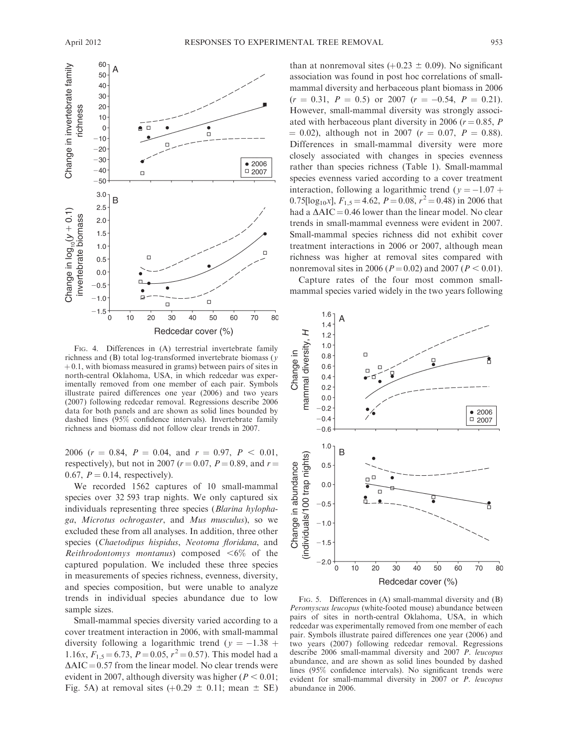

FIG. 4. Differences in (A) terrestrial invertebrate family richness and  $(B)$  total log-transformed invertebrate biomass  $(y)$  $+0.1$ , with biomass measured in grams) between pairs of sites in north-central Oklahoma, USA, in which redcedar was experimentally removed from one member of each pair. Symbols illustrate paired differences one year (2006) and two years (2007) following redcedar removal. Regressions describe 2006 data for both panels and are shown as solid lines bounded by dashed lines (95% confidence intervals). Invertebrate family richness and biomass did not follow clear trends in 2007.

2006 ( $r = 0.84$ ,  $P = 0.04$ , and  $r = 0.97$ ,  $P < 0.01$ , respectively), but not in 2007 ( $r = 0.07$ ,  $P = 0.89$ , and  $r =$ 0.67,  $P = 0.14$ , respectively).

We recorded 1562 captures of 10 small-mammal species over 32 593 trap nights. We only captured six individuals representing three species (Blarina hylophaga, Microtus ochrogaster, and Mus musculus), so we excluded these from all analyses. In addition, three other species (Chaetodipus hispidus, Neotoma floridana, and Reithrodontomys montanus) composed  $<6\%$  of the captured population. We included these three species in measurements of species richness, evenness, diversity, and species composition, but were unable to analyze trends in individual species abundance due to low sample sizes.

Small-mammal species diversity varied according to a cover treatment interaction in 2006, with small-mammal diversity following a logarithmic trend ( $y = -1.38 +$ 1.16x,  $F_{1.5} = 6.73$ ,  $P = 0.05$ ,  $r^2 = 0.57$ ). This model had a  $\Delta AIC = 0.57$  from the linear model. No clear trends were evident in 2007, although diversity was higher ( $P < 0.01$ ; Fig. 5A) at removal sites  $(+0.29 \pm 0.11;$  mean  $\pm$  SE) than at nonremoval sites ( $+0.23 \pm 0.09$ ). No significant association was found in post hoc correlations of smallmammal diversity and herbaceous plant biomass in 2006  $(r = 0.31, P = 0.5)$  or 2007  $(r = -0.54, P = 0.21)$ . However, small-mammal diversity was strongly associated with herbaceous plant diversity in 2006 ( $r = 0.85$ , P  $= 0.02$ ), although not in 2007 ( $r = 0.07$ ,  $P = 0.88$ ). Differences in small-mammal diversity were more closely associated with changes in species evenness rather than species richness (Table 1). Small-mammal species evenness varied according to a cover treatment interaction, following a logarithmic trend ( $y = -1.07 +$ 0.75[ $log_{10}x$ ],  $F_{1,5} = 4.62$ ,  $P = 0.08$ ,  $r^2 = 0.48$ ) in 2006 that had a  $\Delta AIC = 0.46$  lower than the linear model. No clear trends in small-mammal evenness were evident in 2007. Small-mammal species richness did not exhibit cover treatment interactions in 2006 or 2007, although mean richness was higher at removal sites compared with nonremoval sites in 2006 ( $P = 0.02$ ) and 2007 ( $P < 0.01$ ).

Capture rates of the four most common smallmammal species varied widely in the two years following



FIG. 5. Differences in (A) small-mammal diversity and (B) Peromyscus leucopus (white-footed mouse) abundance between pairs of sites in north-central Oklahoma, USA, in which redcedar was experimentally removed from one member of each pair. Symbols illustrate paired differences one year (2006) and two years (2007) following redcedar removal. Regressions describe 2006 small-mammal diversity and 2007 P. leucopus abundance, and are shown as solid lines bounded by dashed lines (95% confidence intervals). No significant trends were evident for small-mammal diversity in 2007 or *P. leucopus* abundance in 2006.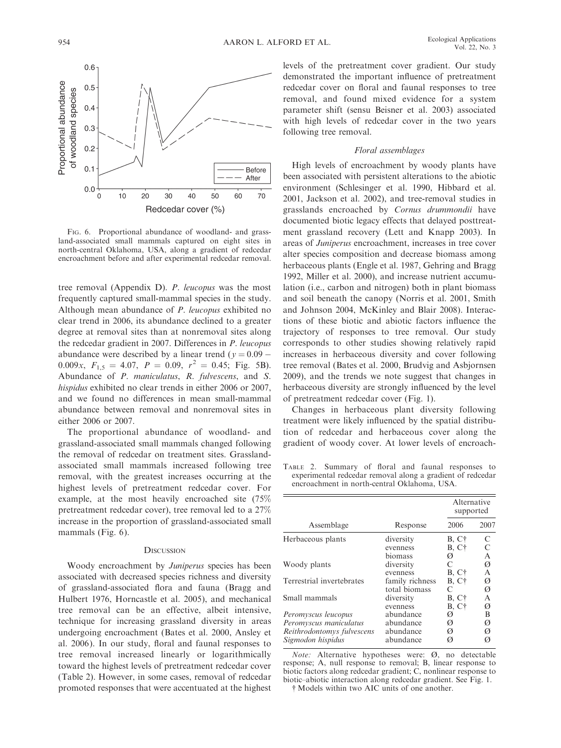

FIG. 6. Proportional abundance of woodland- and grassland-associated small mammals captured on eight sites in north-central Oklahoma, USA, along a gradient of redcedar encroachment before and after experimental redcedar removal.

tree removal (Appendix D). P. leucopus was the most frequently captured small-mammal species in the study. Although mean abundance of P. leucopus exhibited no clear trend in 2006, its abundance declined to a greater degree at removal sites than at nonremoval sites along the redcedar gradient in 2007. Differences in P. leucopus abundance were described by a linear trend ( $y = 0.09 - 1.00$ 0.009x,  $F_{1.5} = 4.07$ ,  $P = 0.09$ ,  $r^2 = 0.45$ ; Fig. 5B). Abundance of P. maniculatus, R. fulvescens, and S. hispidus exhibited no clear trends in either 2006 or 2007. and we found no differences in mean small-mammal abundance between removal and nonremoval sites in either 2006 or 2007.

The proportional abundance of woodland- and grassland-associated small mammals changed following the removal of redcedar on treatment sites. Grasslandassociated small mammals increased following tree removal, with the greatest increases occurring at the highest levels of pretreatment redcedar cover. For example, at the most heavily encroached site (75% pretreatment redcedar cover), tree removal led to a 27% increase in the proportion of grassland-associated small mammals (Fig. 6).

#### **DISCUSSION**

Woody encroachment by *Juniperus* species has been associated with decreased species richness and diversity of grassland-associated flora and fauna (Bragg and Hulbert 1976, Horncastle et al. 2005), and mechanical tree removal can be an effective, albeit intensive, technique for increasing grassland diversity in areas undergoing encroachment (Bates et al. 2000, Ansley et al. 2006). In our study, floral and faunal responses to tree removal increased linearly or logarithmically toward the highest levels of pretreatment redcedar cover (Table 2). However, in some cases, removal of redcedar promoted responses that were accentuated at the highest levels of the pretreatment cover gradient. Our study demonstrated the important influence of pretreatment redcedar cover on floral and faunal responses to tree removal, and found mixed evidence for a system parameter shift (sensu Beisner et al. 2003) associated with high levels of redcedar cover in the two years following tree removal.

#### Floral assemblages

High levels of encroachment by woody plants have been associated with persistent alterations to the abiotic environment (Schlesinger et al. 1990, Hibbard et al. 2001, Jackson et al. 2002), and tree-removal studies in grasslands encroached by Cornus drummondii have documented biotic legacy effects that delayed posttreatment grassland recovery (Lett and Knapp 2003). In areas of Juniperus encroachment, increases in tree cover alter species composition and decrease biomass among herbaceous plants (Engle et al. 1987, Gehring and Bragg 1992, Miller et al. 2000), and increase nutrient accumulation (i.e., carbon and nitrogen) both in plant biomass and soil beneath the canopy (Norris et al. 2001, Smith and Johnson 2004, McKinley and Blair 2008). Interactions of these biotic and abiotic factors influence the trajectory of responses to tree removal. Our study corresponds to other studies showing relatively rapid increases in herbaceous diversity and cover following tree removal (Bates et al. 2000, Brudvig and Asbjornsen 2009), and the trends we note suggest that changes in herbaceous diversity are strongly influenced by the level of pretreatment redcedar cover (Fig. 1).

Changes in herbaceous plant diversity following treatment were likely influenced by the spatial distribution of redcedar and herbaceous cover along the gradient of woody cover. At lower levels of encroach-

TABLE 2. Summary of floral and faunal responses to experimental redcedar removal along a gradient of redcedar encroachment in north-central Oklahoma, USA.

|                            |                 | Alternative<br>supported |      |
|----------------------------|-----------------|--------------------------|------|
| Assemblage                 | Response        | 2006                     | 2007 |
| Herbaceous plants          | diversity       | B. C†                    | С    |
|                            | evenness        | B. C†                    | C    |
|                            | biomass         | Ø                        | A    |
| Woody plants               | diversity       | C                        | Ø    |
|                            | evenness        | B. C†                    | A    |
| Terrestrial invertebrates  | family richness | B. C†                    | Ø    |
|                            | total biomass   | C                        | Ø    |
| Small mammals              | diversity       | B. C†                    | А    |
|                            | evenness        | B. C†                    | Ø    |
| Peromyscus leucopus        | abundance       | Ø                        | B    |
| Peromyscus maniculatus     | abundance       | Ø                        | Ø    |
| Reithrodontomys fulvescens | abundance       | Ø                        | Ø    |
| Sigmodon hispidus          | abundance       | Ø                        |      |

Note: Alternative hypotheses were: Ø, no detectable response; A, null response to removal; B, linear response to biotic factors along redcedar gradient; C, nonlinear response to biotic–abiotic interaction along redcedar gradient. See Fig. 1.

- Models within two AIC units of one another.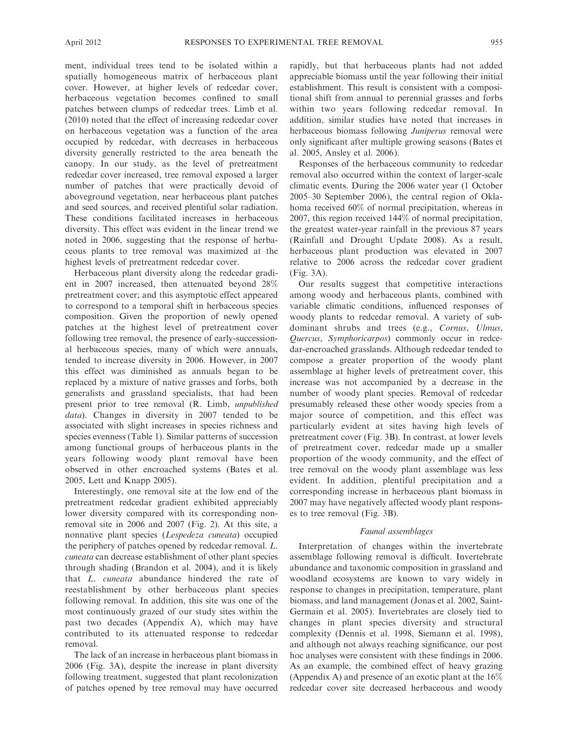ment, individual trees tend to be isolated within a spatially homogeneous matrix of herbaceous plant cover. However, at higher levels of redcedar cover, herbaceous vegetation becomes confined to small patches between clumps of redcedar trees. Limb et al. (2010) noted that the effect of increasing redcedar cover on herbaceous vegetation was a function of the area occupied by redcedar, with decreases in herbaceous diversity generally restricted to the area beneath the canopy. In our study, as the level of pretreatment redcedar cover increased, tree removal exposed a larger number of patches that were practically devoid of aboveground vegetation, near herbaceous plant patches and seed sources, and received plentiful solar radiation. These conditions facilitated increases in herbaceous diversity. This effect was evident in the linear trend we noted in 2006, suggesting that the response of herbaceous plants to tree removal was maximized at the highest levels of pretreatment redcedar cover.

Herbaceous plant diversity along the redcedar gradient in 2007 increased, then attenuated beyond 28% pretreatment cover; and this asymptotic effect appeared to correspond to a temporal shift in herbaceous species composition. Given the proportion of newly opened patches at the highest level of pretreatment cover following tree removal, the presence of early-successional herbaceous species, many of which were annuals, tended to increase diversity in 2006. However, in 2007 this effect was diminished as annuals began to be replaced by a mixture of native grasses and forbs, both generalists and grassland specialists, that had been present prior to tree removal (R. Limb, unpublished data). Changes in diversity in 2007 tended to be associated with slight increases in species richness and species evenness (Table 1). Similar patterns of succession among functional groups of herbaceous plants in the years following woody plant removal have been observed in other encroached systems (Bates et al. 2005, Lett and Knapp 2005).

Interestingly, one removal site at the low end of the pretreatment redcedar gradient exhibited appreciably lower diversity compared with its corresponding nonremoval site in 2006 and 2007 (Fig. 2). At this site, a nonnative plant species (Lespedeza cuneata) occupied the periphery of patches opened by redcedar removal. L. cuneata can decrease establishment of other plant species through shading (Brandon et al. 2004), and it is likely that L. cuneata abundance hindered the rate of reestablishment by other herbaceous plant species following removal. In addition, this site was one of the most continuously grazed of our study sites within the past two decades (Appendix A), which may have contributed to its attenuated response to redcedar removal.

The lack of an increase in herbaceous plant biomass in 2006 (Fig. 3A), despite the increase in plant diversity following treatment, suggested that plant recolonization of patches opened by tree removal may have occurred rapidly, but that herbaceous plants had not added appreciable biomass until the year following their initial establishment. This result is consistent with a compositional shift from annual to perennial grasses and forbs within two years following redcedar removal. In addition, similar studies have noted that increases in herbaceous biomass following Juniperus removal were only significant after multiple growing seasons (Bates et al. 2005, Ansley et al. 2006).

Responses of the herbaceous community to redcedar removal also occurred within the context of larger-scale climatic events. During the 2006 water year (1 October 2005–30 September 2006), the central region of Oklahoma received 60% of normal precipitation, whereas in 2007, this region received 144% of normal precipitation, the greatest water-year rainfall in the previous 87 years (Rainfall and Drought Update 2008). As a result, herbaceous plant production was elevated in 2007 relative to 2006 across the redcedar cover gradient (Fig. 3A).

Our results suggest that competitive interactions among woody and herbaceous plants, combined with variable climatic conditions, influenced responses of woody plants to redcedar removal. A variety of subdominant shrubs and trees (e.g., Cornus, Ulmus, Quercus, Symphoricarpos) commonly occur in redcedar-encroached grasslands. Although redcedar tended to compose a greater proportion of the woody plant assemblage at higher levels of pretreatment cover, this increase was not accompanied by a decrease in the number of woody plant species. Removal of redcedar presumably released these other woody species from a major source of competition, and this effect was particularly evident at sites having high levels of pretreatment cover (Fig. 3B). In contrast, at lower levels of pretreatment cover, redcedar made up a smaller proportion of the woody community, and the effect of tree removal on the woody plant assemblage was less evident. In addition, plentiful precipitation and a corresponding increase in herbaceous plant biomass in 2007 may have negatively affected woody plant responses to tree removal (Fig. 3B).

#### Faunal assemblages

Interpretation of changes within the invertebrate assemblage following removal is difficult. Invertebrate abundance and taxonomic composition in grassland and woodland ecosystems are known to vary widely in response to changes in precipitation, temperature, plant biomass, and land management (Jonas et al. 2002, Saint-Germain et al. 2005). Invertebrates are closely tied to changes in plant species diversity and structural complexity (Dennis et al. 1998, Siemann et al. 1998), and although not always reaching significance, our post hoc analyses were consistent with these findings in 2006. As an example, the combined effect of heavy grazing (Appendix A) and presence of an exotic plant at the 16% redcedar cover site decreased herbaceous and woody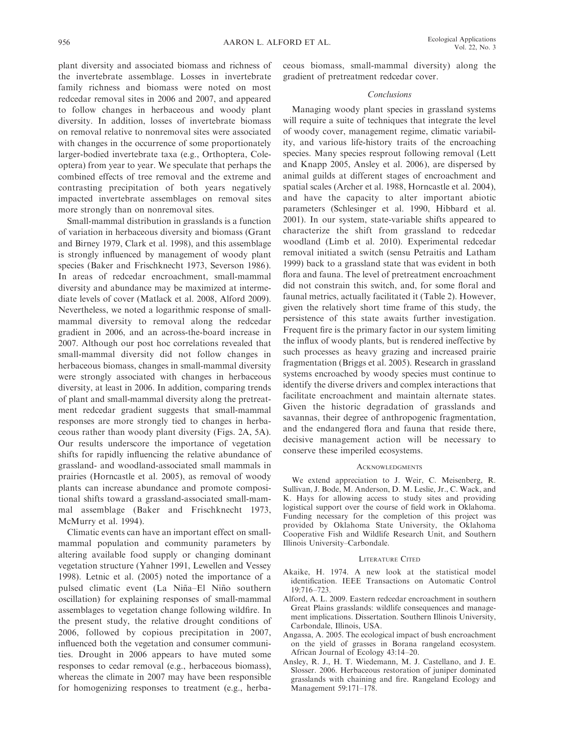plant diversity and associated biomass and richness of the invertebrate assemblage. Losses in invertebrate family richness and biomass were noted on most redcedar removal sites in 2006 and 2007, and appeared to follow changes in herbaceous and woody plant diversity. In addition, losses of invertebrate biomass on removal relative to nonremoval sites were associated with changes in the occurrence of some proportionately larger-bodied invertebrate taxa (e.g., Orthoptera, Coleoptera) from year to year. We speculate that perhaps the combined effects of tree removal and the extreme and contrasting precipitation of both years negatively impacted invertebrate assemblages on removal sites more strongly than on nonremoval sites.

Small-mammal distribution in grasslands is a function of variation in herbaceous diversity and biomass (Grant and Birney 1979, Clark et al. 1998), and this assemblage is strongly influenced by management of woody plant species (Baker and Frischknecht 1973, Severson 1986). In areas of redcedar encroachment, small-mammal diversity and abundance may be maximized at intermediate levels of cover (Matlack et al. 2008, Alford 2009). Nevertheless, we noted a logarithmic response of smallmammal diversity to removal along the redcedar gradient in 2006, and an across-the-board increase in 2007. Although our post hoc correlations revealed that small-mammal diversity did not follow changes in herbaceous biomass, changes in small-mammal diversity were strongly associated with changes in herbaceous diversity, at least in 2006. In addition, comparing trends of plant and small-mammal diversity along the pretreatment redcedar gradient suggests that small-mammal responses are more strongly tied to changes in herbaceous rather than woody plant diversity (Figs. 2A, 5A). Our results underscore the importance of vegetation shifts for rapidly influencing the relative abundance of grassland- and woodland-associated small mammals in prairies (Horncastle et al. 2005), as removal of woody plants can increase abundance and promote compositional shifts toward a grassland-associated small-mammal assemblage (Baker and Frischknecht 1973, McMurry et al. 1994).

Climatic events can have an important effect on smallmammal population and community parameters by altering available food supply or changing dominant vegetation structure (Yahner 1991, Lewellen and Vessey 1998). Letnic et al. (2005) noted the importance of a pulsed climatic event (La Niña-El Niño southern oscillation) for explaining responses of small-mammal assemblages to vegetation change following wildfire. In the present study, the relative drought conditions of 2006, followed by copious precipitation in 2007, influenced both the vegetation and consumer communities. Drought in 2006 appears to have muted some responses to cedar removal (e.g., herbaceous biomass), whereas the climate in 2007 may have been responsible for homogenizing responses to treatment (e.g., herbaceous biomass, small-mammal diversity) along the gradient of pretreatment redcedar cover.

#### Conclusions

Managing woody plant species in grassland systems will require a suite of techniques that integrate the level of woody cover, management regime, climatic variability, and various life-history traits of the encroaching species. Many species resprout following removal (Lett and Knapp 2005, Ansley et al. 2006), are dispersed by animal guilds at different stages of encroachment and spatial scales (Archer et al. 1988, Horncastle et al. 2004), and have the capacity to alter important abiotic parameters (Schlesinger et al. 1990, Hibbard et al. 2001). In our system, state-variable shifts appeared to characterize the shift from grassland to redcedar woodland (Limb et al. 2010). Experimental redcedar removal initiated a switch (sensu Petraitis and Latham 1999) back to a grassland state that was evident in both flora and fauna. The level of pretreatment encroachment did not constrain this switch, and, for some floral and faunal metrics, actually facilitated it (Table 2). However, given the relatively short time frame of this study, the persistence of this state awaits further investigation. Frequent fire is the primary factor in our system limiting the influx of woody plants, but is rendered ineffective by such processes as heavy grazing and increased prairie fragmentation (Briggs et al. 2005). Research in grassland systems encroached by woody species must continue to identify the diverse drivers and complex interactions that facilitate encroachment and maintain alternate states. Given the historic degradation of grasslands and savannas, their degree of anthropogenic fragmentation, and the endangered flora and fauna that reside there, decisive management action will be necessary to conserve these imperiled ecosystems.

#### **ACKNOWLEDGMENTS**

We extend appreciation to J. Weir, C. Meisenberg, R. Sullivan, J. Bode, M. Anderson, D. M. Leslie, Jr., C. Wack, and K. Hays for allowing access to study sites and providing logistical support over the course of field work in Oklahoma. Funding necessary for the completion of this project was provided by Oklahoma State University, the Oklahoma Cooperative Fish and Wildlife Research Unit, and Southern Illinois University–Carbondale.

#### LITERATURE CITED

- Akaike, H. 1974. A new look at the statistical model identification. IEEE Transactions on Automatic Control 19:716–723.
- Alford, A. L. 2009. Eastern redcedar encroachment in southern Great Plains grasslands: wildlife consequences and management implications. Dissertation. Southern Illinois University, Carbondale, Illinois, USA.
- Angassa, A. 2005. The ecological impact of bush encroachment on the yield of grasses in Borana rangeland ecosystem. African Journal of Ecology 43:14–20.
- Ansley, R. J., H. T. Wiedemann, M. J. Castellano, and J. E. Slosser. 2006. Herbaceous restoration of juniper dominated grasslands with chaining and fire. Rangeland Ecology and Management 59:171–178.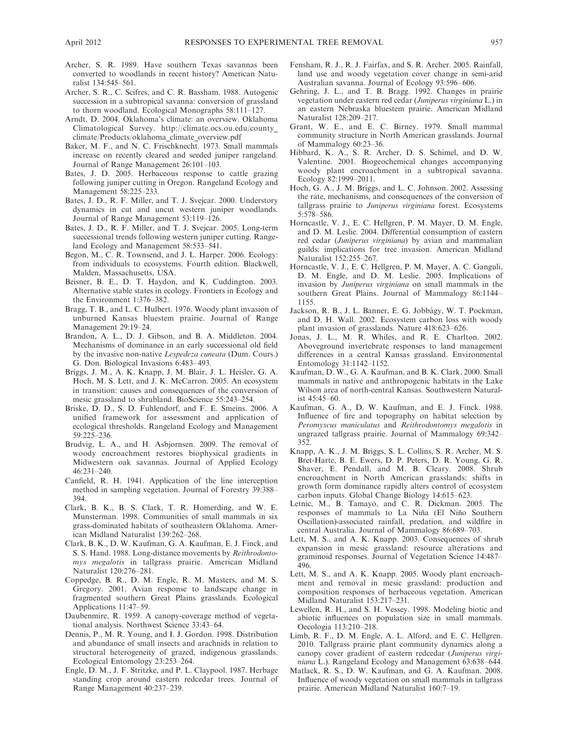- Archer, S. R. 1989. Have southern Texas savannas been converted to woodlands in recent history? American Naturalist 134:545–561.
- Archer, S. R., C. Scifres, and C. R. Bassham. 1988. Autogenic succession in a subtropical savanna: conversion of grassland to thorn woodland. Ecological Monographs 58:111–127.
- Arndt, D. 2004. Oklahoma's climate: an overview. Oklahoma Climatological Survey. http://climate.ocs.ou.edu/county\_ climate/Products/oklahoma\_climate\_overview.pdf
- Baker, M. F., and N. C. Frischknecht. 1973. Small mammals increase on recently cleared and seeded juniper rangeland. Journal of Range Management 26:101–103.
- Bates, J. D. 2005. Herbaceous response to cattle grazing following juniper cutting in Oregon. Rangeland Ecology and Management 58:225–233.
- Bates, J. D., R. F. Miller, and T. J. Svejcar. 2000. Understory dynamics in cut and uncut western juniper woodlands. Journal of Range Management 53:119–126.
- Bates, J. D., R. F. Miller, and T. J. Svejcar. 2005. Long-term successional trends following western juniper cutting. Rangeland Ecology and Management 58:533–541.
- Begon, M., C. R. Townsend, and J. L. Harper. 2006. Ecology: from individuals to ecosystems. Fourth edition. Blackwell, Malden, Massachusetts, USA.
- Beisner, B. E., D. T. Haydon, and K. Cuddington. 2003. Alternative stable states in ecology. Frontiers in Ecology and the Environment 1:376–382.
- Bragg, T. B., and L. C. Hulbert. 1976. Woody plant invasion of unburned Kansas bluestem prairie. Journal of Range Management 29:19–24.
- Brandon, A. L., D. J. Gibson, and B. A. Middleton. 2004. Mechanisms of dominance in an early successional old field by the invasive non-native Lespedeza cuneata (Dum. Cours.) G. Don. Biological Invasions 6:483–493.
- Briggs, J. M., A. K. Knapp, J. M. Blair, J. L. Heisler, G. A. Hoch, M. S. Lett, and J. K. McCarron. 2005. An ecosystem in transition: causes and consequences of the conversion of mesic grassland to shrubland. BioScience 55:243–254.
- Briske, D. D., S. D. Fuhlendorf, and F. E. Smeins. 2006. A unified framework for assessment and application of ecological thresholds. Rangeland Ecology and Management 59:225–236.
- Brudvig, L. A., and H. Asbjornsen. 2009. The removal of woody encroachment restores biophysical gradients in Midwestern oak savannas. Journal of Applied Ecology 46:231–240.
- Canfield, R. H. 1941. Application of the line interception method in sampling vegetation. Journal of Forestry 39:388– 394.
- Clark, B. K., B. S. Clark, T. R. Homerding, and W. E. Munsterman. 1998. Communities of small mammals in six grass-dominated habitats of southeastern Oklahoma. American Midland Naturalist 139:262–268.
- Clark, B. K., D. W. Kaufman, G. A. Kaufman, E. J. Finck, and S. S. Hand. 1988. Long-distance movements by Reithrodontomys megalotis in tallgrass prairie. American Midland Naturalist 120:276–281.
- Coppedge, B. R., D. M. Engle, R. M. Masters, and M. S. Gregory. 2001. Avian response to landscape change in fragmented southern Great Plains grasslands. Ecological Applications 11:47–59.
- Daubenmire, R. 1959. A canopy-coverage method of vegetational analysis. Northwest Science 33:43–64.
- Dennis, P., M. R. Young, and I. J. Gordon. 1998. Distribution and abundance of small insects and arachnids in relation to structural heterogeneity of grazed, indigenous grasslands. Ecological Entomology 23:253–264.
- Engle, D. M., J. F. Stritzke, and P. L. Claypool. 1987. Herbage standing crop around eastern redcedar trees. Journal of Range Management 40:237–239.
- Fensham, R. J., R. J. Fairfax, and S. R. Archer. 2005. Rainfall, land use and woody vegetation cover change in semi-arid Australian savanna. Journal of Ecology 93:596–606.
- Gehring, J. L., and T. B. Bragg. 1992. Changes in prairie vegetation under eastern red cedar (Juniperus virginiana L.) in an eastern Nebraska bluestem prairie. American Midland Naturalist 128:209–217.
- Grant, W. E., and E. C. Birney. 1979. Small mammal community structure in North American grasslands. Journal of Mammalogy 60:23–36.
- Hibbard, K. A., S. R. Archer, D. S. Schimel, and D. W. Valentine. 2001. Biogeochemical changes accompanying woody plant encroachment in a subtropical savanna. Ecology 82:1999–2011.
- Hoch, G. A., J. M. Briggs, and L. C. Johnson. 2002. Assessing the rate, mechanisms, and consequences of the conversion of tallgrass prairie to Juniperus virginiana forest. Ecosystems 5:578–586.
- Horncastle, V. J., E. C. Hellgren, P. M. Mayer, D. M. Engle, and D. M. Leslie. 2004. Differential consumption of eastern red cedar (Juniperus virginiana) by avian and mammalian guilds: implications for tree invasion. American Midland Naturalist 152:255–267.
- Horncastle, V. J., E. C. Hellgren, P. M. Mayer, A. C. Ganguli, D. M. Engle, and D. M. Leslie. 2005. Implications of invasion by Juniperus virginiana on small mammals in the southern Great Plains. Journal of Mammalogy 86:1144– 1155.
- Jackson, R. B., J. L. Banner, E. G. Jobbágy, W. T. Pockman, and D. H. Wall. 2002. Ecosystem carbon loss with woody plant invasion of grasslands. Nature 418:623–626.
- Jonas, J. L., M. R. Whiles, and R. E. Charlton. 2002. Aboveground invertebrate responses to land management differences in a central Kansas grassland. Environmental Entomology 31:1142–1152.
- Kaufman, D. W., G. A. Kaufman, and B. K. Clark. 2000. Small mammals in native and anthropogenic habitats in the Lake Wilson area of north-central Kansas. Southwestern Naturalist 45:45–60.
- Kaufman, G. A., D. W. Kaufman, and E. J. Finck. 1988. Influence of fire and topography on habitat selection by Peromyscus maniculatus and Reithrodontomys megalotis in ungrazed tallgrass prairie. Journal of Mammalogy 69:342– 352.
- Knapp, A. K., J. M. Briggs, S. L. Collins, S. R. Archer, M. S. Bret-Harte, B. E. Ewers, D. P. Peters, D. R. Young, G. R. Shaver, E. Pendall, and M. B. Cleary. 2008. Shrub encroachment in North American grasslands: shifts in growth form dominance rapidly alters control of ecosystem carbon inputs. Global Change Biology 14:615–623.
- Letnic, M., B. Tamayo, and C. R. Dickman. 2005. The responses of mammals to La Niña (El Niño Southern Oscillation)-associated rainfall, predation, and wildfire in central Australia. Journal of Mammalogy 86:689–703.
- Lett, M. S., and A. K. Knapp. 2003. Consequences of shrub expansion in mesic grassland: resource alterations and graminoid responses. Journal of Vegetation Science 14:487– 496.
- Lett, M. S., and A. K. Knapp. 2005. Woody plant encroachment and removal in mesic grassland: production and composition responses of herbaceous vegetation. American Midland Naturalist 153:217–231.
- Lewellen, R. H., and S. H. Vessey. 1998. Modeling biotic and abiotic influences on population size in small mammals. Oecologia 113:210–218.
- Limb, R. F., D. M. Engle, A. L. Alford, and E. C. Hellgren. 2010. Tallgrass prairie plant community dynamics along a canopy cover gradient of eastern redcedar (Juniperus virginiana L.). Rangeland Ecology and Management 63:638-644.
- Matlack, R. S., D. W. Kaufman, and G. A. Kaufman. 2008. Influence of woody vegetation on small mammals in tallgrass prairie. American Midland Naturalist 160:7–19.